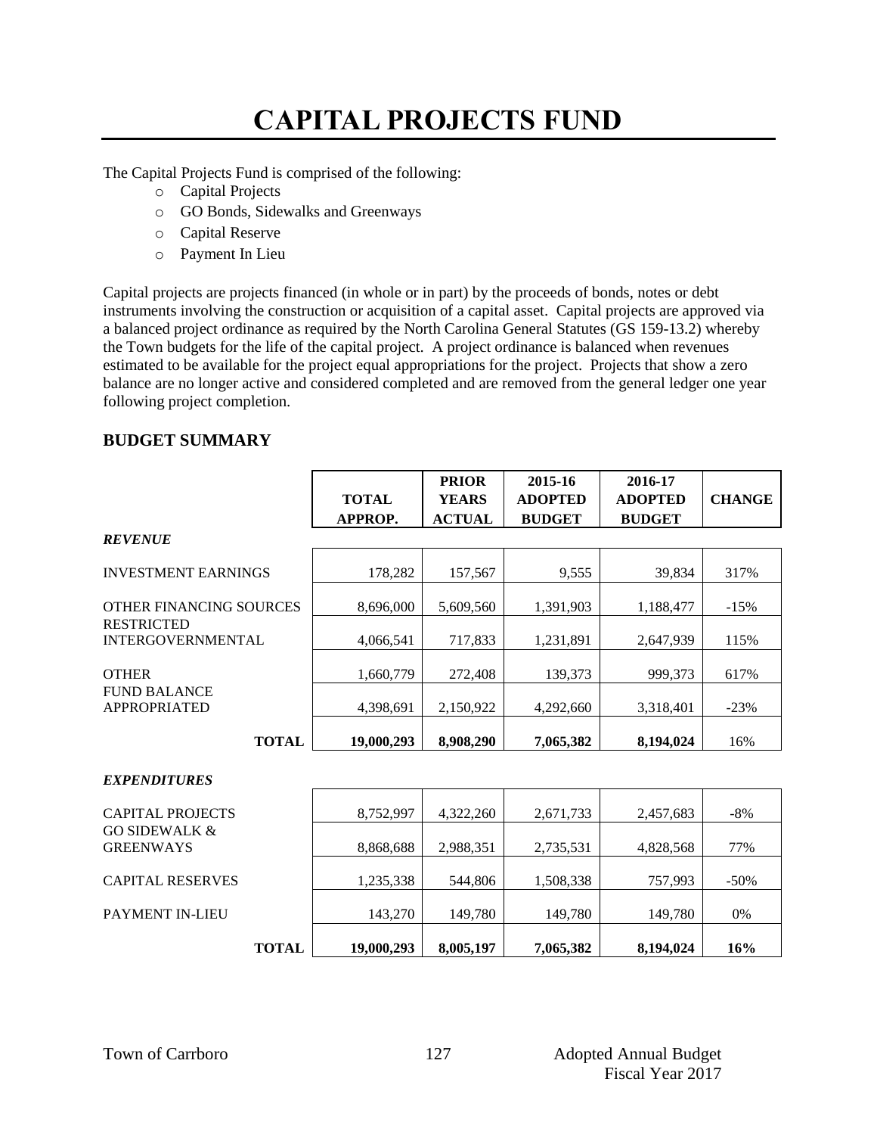# **CAPITAL PROJECTS FUND**

The Capital Projects Fund is comprised of the following:

- o Capital Projects
- o GO Bonds, Sidewalks and Greenways
- o Capital Reserve
- o Payment In Lieu

Capital projects are projects financed (in whole or in part) by the proceeds of bonds, notes or debt instruments involving the construction or acquisition of a capital asset. Capital projects are approved via a balanced project ordinance as required by the North Carolina General Statutes (GS 159-13.2) whereby the Town budgets for the life of the capital project. A project ordinance is balanced when revenues estimated to be available for the project equal appropriations for the project. Projects that show a zero balance are no longer active and considered completed and are removed from the general ledger one year following project completion.

## **BUDGET SUMMARY**

|                                               |              | <b>PRIOR</b>  | 2015-16        | 2016-17        |               |
|-----------------------------------------------|--------------|---------------|----------------|----------------|---------------|
|                                               | <b>TOTAL</b> | <b>YEARS</b>  | <b>ADOPTED</b> | <b>ADOPTED</b> | <b>CHANGE</b> |
|                                               | APPROP.      | <b>ACTUAL</b> | <b>BUDGET</b>  | <b>BUDGET</b>  |               |
| <b>REVENUE</b>                                |              |               |                |                |               |
| <b>INVESTMENT EARNINGS</b>                    | 178,282      | 157,567       | 9,555          | 39,834         | 317%          |
| OTHER FINANCING SOURCES                       | 8,696,000    | 5,609,560     | 1,391,903      | 1,188,477      | $-15%$        |
| <b>RESTRICTED</b><br><b>INTERGOVERNMENTAL</b> | 4,066,541    | 717,833       | 1,231,891      | 2,647,939      | 115%          |
| <b>OTHER</b>                                  | 1,660,779    | 272,408       | 139,373        | 999,373        | 617%          |
| <b>FUND BALANCE</b><br><b>APPROPRIATED</b>    | 4,398,691    | 2,150,922     | 4,292,660      | 3,318,401      | $-23%$        |
| <b>TOTAL</b>                                  | 19,000,293   | 8,908,290     | 7,065,382      | 8,194,024      | 16%           |
| <b>EXPENDITURES</b>                           |              |               |                |                |               |
| <b>CAPITAL PROJECTS</b>                       | 8,752,997    | 4,322,260     | 2,671,733      | 2,457,683      | $-8%$         |
| <b>GO SIDEWALK &amp;</b><br><b>GREENWAYS</b>  | 8,868,688    | 2,988,351     | 2,735,531      | 4,828,568      | 77%           |
| <b>CAPITAL RESERVES</b>                       | 1,235,338    | 544,806       | 1,508,338      | 757,993        | $-50%$        |
| <b>PAYMENT IN-LIEU</b>                        | 143,270      | 149,780       | 149,780        | 149,780        | 0%            |
| <b>TOTAL</b>                                  | 19,000,293   | 8,005,197     | 7,065,382      | 8,194,024      | 16%           |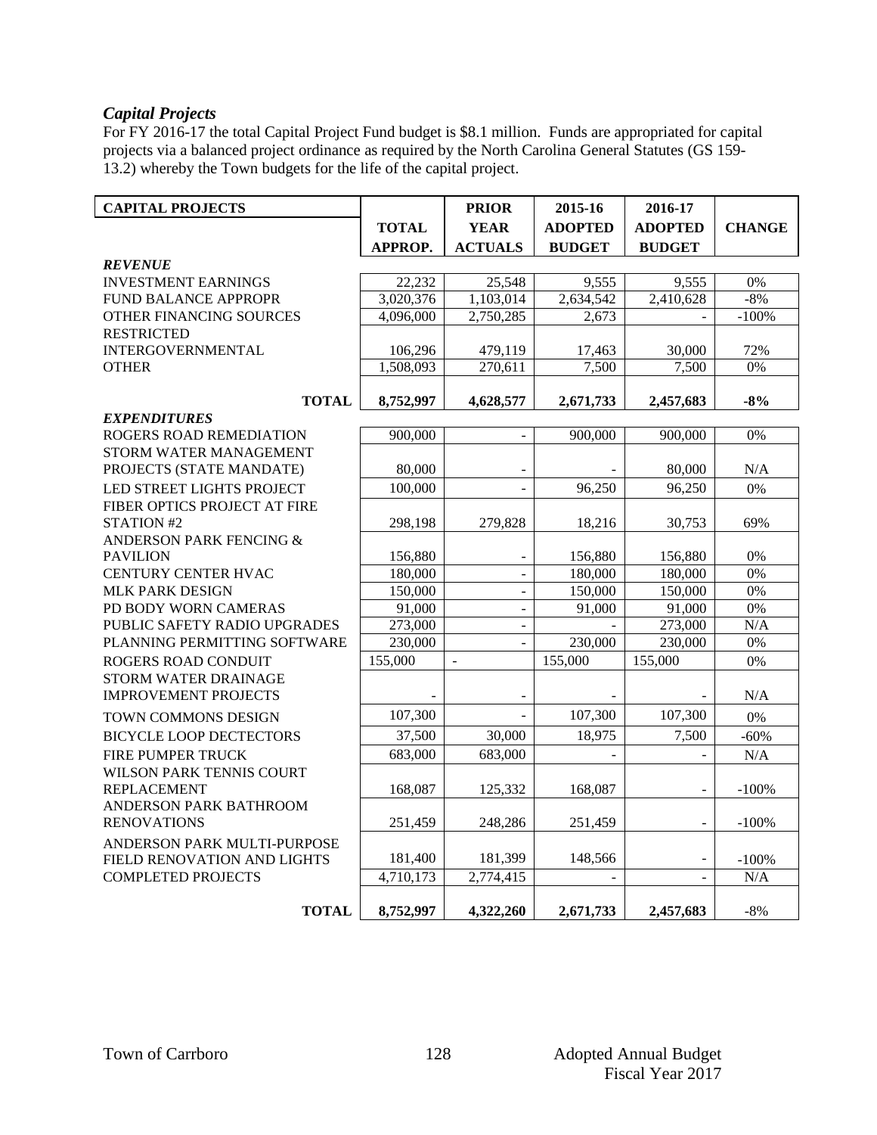### *Capital Projects*

For FY 2016-17 the total Capital Project Fund budget is \$8.1 million. Funds are appropriated for capital projects via a balanced project ordinance as required by the North Carolina General Statutes (GS 159- 13.2) whereby the Town budgets for the life of the capital project.

| <b>CAPITAL PROJECTS</b>         |                | <b>PRIOR</b>             | 2015-16                  | 2016-17                  |               |
|---------------------------------|----------------|--------------------------|--------------------------|--------------------------|---------------|
|                                 | <b>TOTAL</b>   | <b>YEAR</b>              | <b>ADOPTED</b>           | <b>ADOPTED</b>           | <b>CHANGE</b> |
|                                 | <b>APPROP.</b> | <b>ACTUALS</b>           | <b>BUDGET</b>            | <b>BUDGET</b>            |               |
| <b>REVENUE</b>                  |                |                          |                          |                          |               |
| <b>INVESTMENT EARNINGS</b>      | 22,232         | 25.548                   | 9.555                    | 9.555                    | 0%            |
| FUND BALANCE APPROPR            | 3,020,376      | 1,103,014                | 2,634,542                | 2,410,628                | $-8%$         |
| OTHER FINANCING SOURCES         | 4,096,000      | 2,750,285                | 2,673                    |                          | $-100%$       |
| <b>RESTRICTED</b>               |                |                          |                          |                          |               |
| <b>INTERGOVERNMENTAL</b>        | 106,296        | 479,119                  | 17,463                   | 30,000                   | 72%           |
| <b>OTHER</b>                    | 1,508,093      | 270,611                  | 7,500                    | 7,500                    | 0%            |
| <b>TOTAL</b>                    | 8,752,997      | 4,628,577                | 2,671,733                | 2,457,683                | $-8%$         |
| <b>EXPENDITURES</b>             |                |                          |                          |                          |               |
| ROGERS ROAD REMEDIATION         | 900,000        |                          | 900,000                  | 900,000                  | 0%            |
| STORM WATER MANAGEMENT          |                |                          |                          |                          |               |
| PROJECTS (STATE MANDATE)        | 80,000         |                          |                          | 80,000                   | N/A           |
| LED STREET LIGHTS PROJECT       | 100,000        | $\Box$                   | 96.250                   | 96.250                   | 0%            |
| FIBER OPTICS PROJECT AT FIRE    |                |                          |                          |                          |               |
| STATION #2                      | 298,198        | 279.828                  | 18,216                   | 30,753                   | 69%           |
| ANDERSON PARK FENCING &         |                |                          |                          |                          |               |
| <b>PAVILION</b>                 | 156,880        |                          | 156,880                  | 156,880                  | $0\%$         |
| CENTURY CENTER HVAC             | 180,000        | $\overline{\phantom{a}}$ | 180,000                  | 180,000                  | $0\%$         |
| <b>MLK PARK DESIGN</b>          | 150,000        | $\overline{a}$           | $\overline{150,000}$     | 150,000                  | 0%            |
| PD BODY WORN CAMERAS            | 91,000         | $\overline{a}$           | 91,000                   | 91,000                   | 0%            |
| PUBLIC SAFETY RADIO UPGRADES    | 273,000        | $\overline{\phantom{a}}$ |                          | 273,000                  | N/A           |
| PLANNING PERMITTING SOFTWARE    | 230,000        | $\sim$                   | 230,000                  | 230,000                  | 0%            |
| ROGERS ROAD CONDUIT             | 155,000        | $\frac{1}{2}$            | 155,000                  | 155,000                  | $0\%$         |
| STORM WATER DRAINAGE            |                |                          |                          |                          |               |
| <b>IMPROVEMENT PROJECTS</b>     |                |                          |                          |                          | N/A           |
| TOWN COMMONS DESIGN             | 107,300        | $\overline{a}$           | 107,300                  | 107,300                  | $0\%$         |
| <b>BICYCLE LOOP DECTECTORS</b>  | 37,500         | 30,000                   | 18,975                   | 7,500                    | $-60%$        |
| FIRE PUMPER TRUCK               | 683,000        | 683,000                  |                          |                          | N/A           |
| <b>WILSON PARK TENNIS COURT</b> |                |                          |                          |                          |               |
| <b>REPLACEMENT</b>              | 168,087        | 125,332                  | 168,087                  |                          | $-100%$       |
| ANDERSON PARK BATHROOM          |                |                          |                          |                          |               |
| <b>RENOVATIONS</b>              | 251,459        | 248,286                  | 251,459                  |                          | $-100%$       |
| ANDERSON PARK MULTI-PURPOSE     |                |                          |                          |                          |               |
| FIELD RENOVATION AND LIGHTS     | 181,400        | 181,399                  | 148,566                  | $\overline{\phantom{a}}$ | $-100%$       |
| <b>COMPLETED PROJECTS</b>       | 4,710,173      | 2,774,415                | $\overline{\phantom{a}}$ |                          | N/A           |
| <b>TOTAL</b>                    | 8,752,997      | 4,322,260                | 2,671,733                | 2,457,683                | $-8%$         |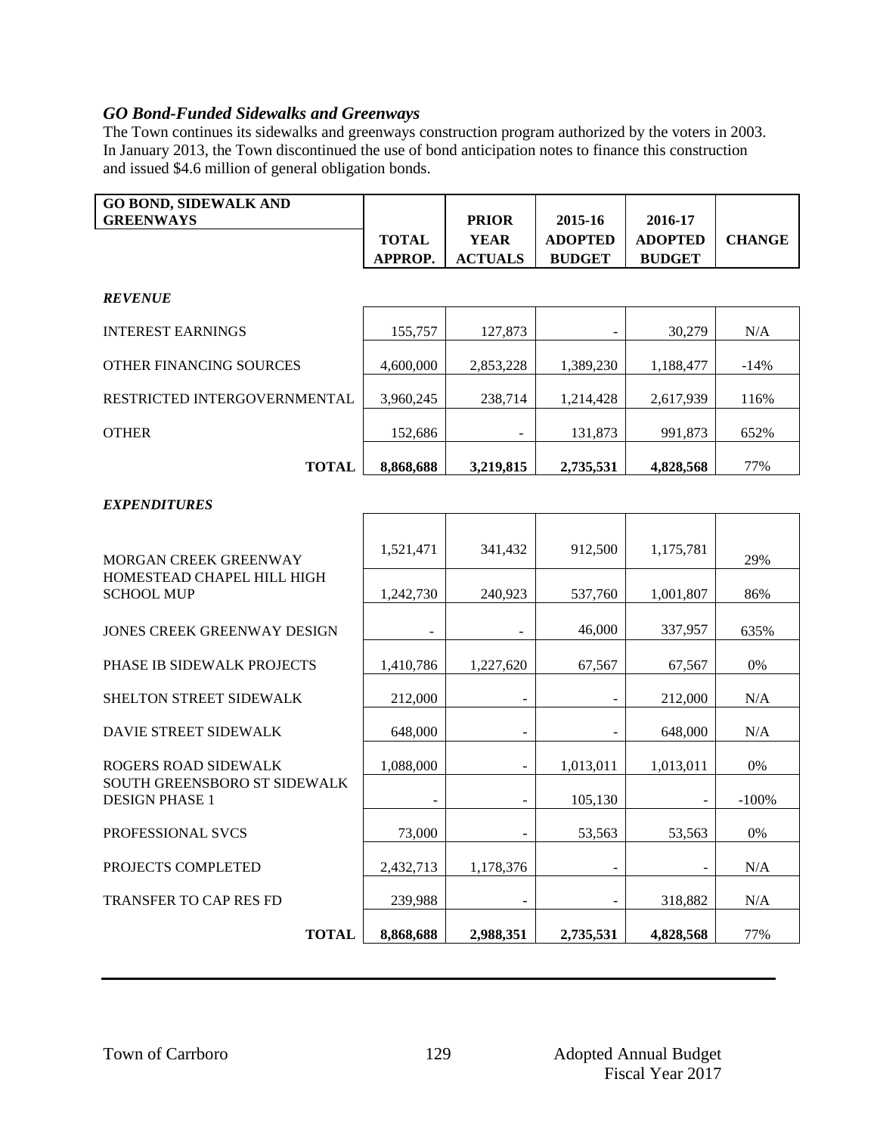## *GO Bond-Funded Sidewalks and Greenways*

The Town continues its sidewalks and greenways construction program authorized by the voters in 2003. In January 2013, the Town discontinued the use of bond anticipation notes to finance this construction and issued \$4.6 million of general obligation bonds.

| <b>GO BOND, SIDEWALK AND</b><br><b>GREENWAYS</b> |                | <b>PRIOR</b>   | 2015-16        | 2016-17        |               |
|--------------------------------------------------|----------------|----------------|----------------|----------------|---------------|
|                                                  | <b>TOTAL</b>   | <b>YEAR</b>    | <b>ADOPTED</b> | <b>ADOPTED</b> | <b>CHANGE</b> |
|                                                  | <b>APPROP.</b> | <b>ACTUALS</b> | <b>BUDGET</b>  | <b>BUDGET</b>  |               |
|                                                  |                |                |                |                |               |

#### *REVENUE*

| <b>INTEREST EARNINGS</b>       | 155,757   | 127,873   |           | 30,279    | N/A    |
|--------------------------------|-----------|-----------|-----------|-----------|--------|
| <b>OTHER FINANCING SOURCES</b> | 4,600,000 | 2,853,228 | 1,389,230 | 1,188,477 | $-14%$ |
| RESTRICTED INTERGOVERNMENTAL   | 3,960,245 | 238,714   | 1,214,428 | 2,617,939 | 116%   |
| <b>OTHER</b>                   | 152,686   |           | 131,873   | 991,873   | 652%   |
| <b>TOTAL</b>                   | 8,868,688 | 3,219,815 | 2,735,531 | 4,828,568 | 77%    |

### *EXPENDITURES*

| MORGAN CREEK GREENWAY                                        | 1,521,471 | 341,432   | 912,500   | 1,175,781 | 29%     |
|--------------------------------------------------------------|-----------|-----------|-----------|-----------|---------|
| HOMESTEAD CHAPEL HILL HIGH<br><b>SCHOOL MUP</b>              | 1,242,730 | 240,923   | 537,760   | 1,001,807 | 86%     |
| JONES CREEK GREENWAY DESIGN                                  |           |           | 46,000    | 337,957   | 635%    |
| <b>PHASE IB SIDEWALK PROJECTS</b>                            | 1,410,786 | 1,227,620 | 67,567    | 67,567    | 0%      |
| SHELTON STREET SIDEWALK                                      | 212,000   |           |           | 212,000   | N/A     |
| <b>DAVIE STREET SIDEWALK</b>                                 | 648,000   |           |           | 648,000   | N/A     |
| ROGERS ROAD SIDEWALK                                         | 1,088,000 |           | 1,013,011 | 1,013,011 | 0%      |
| <b>SOUTH GREENSBORO ST SIDEWALK</b><br><b>DESIGN PHASE 1</b> |           |           | 105,130   |           | $-100%$ |
| <b>PROFESSIONAL SVCS</b>                                     | 73,000    |           | 53,563    | 53,563    | 0%      |
| PROJECTS COMPLETED                                           | 2,432,713 | 1,178,376 |           |           | N/A     |
| <b>TRANSFER TO CAP RES FD</b>                                | 239,988   |           |           | 318,882   | N/A     |
| <b>TOTAL</b>                                                 | 8,868,688 | 2,988,351 | 2,735,531 | 4,828,568 | 77%     |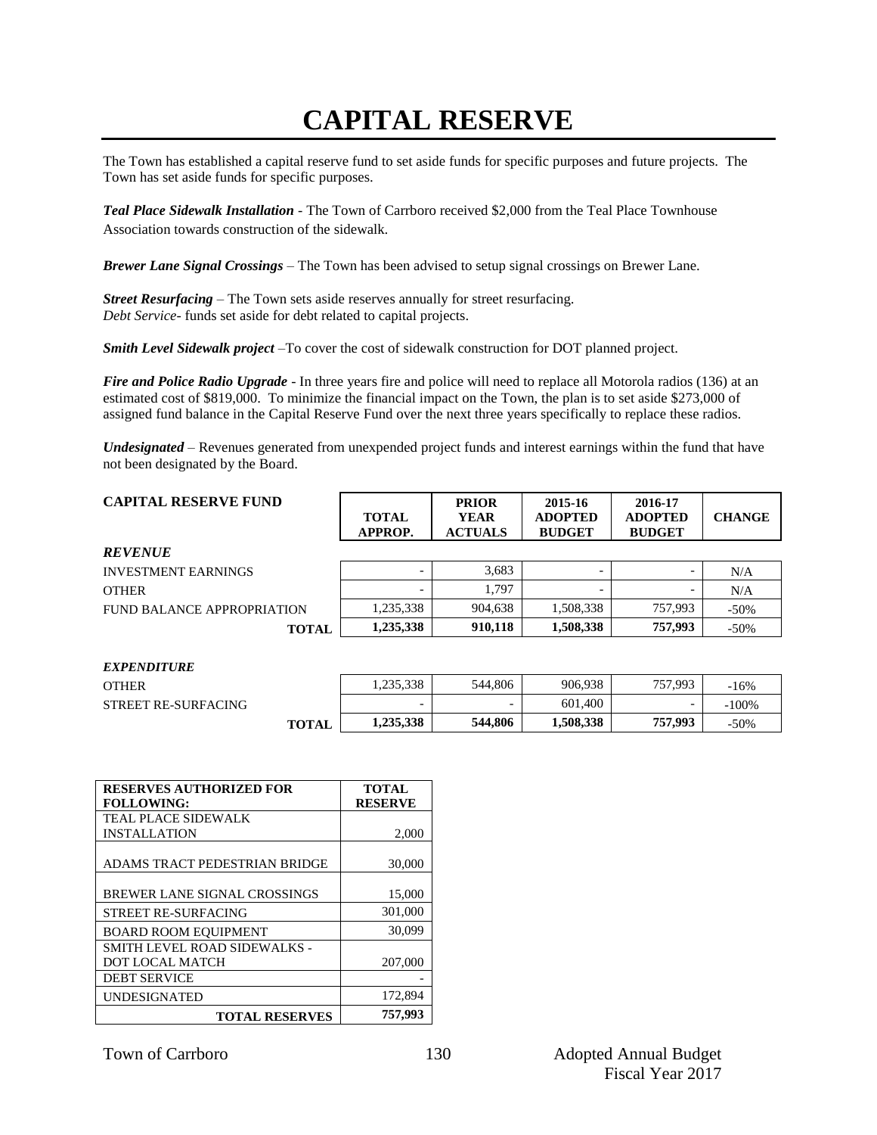## **CAPITAL RESERVE**

The Town has established a capital reserve fund to set aside funds for specific purposes and future projects. The Town has set aside funds for specific purposes.

*Teal Place Sidewalk Installation -* The Town of Carrboro received \$2,000 from the Teal Place Townhouse Association towards construction of the sidewalk*.*

*Brewer Lane Signal Crossings –* The Town has been advised to setup signal crossings on Brewer Lane.

*Street Resurfacing –* The Town sets aside reserves annually for street resurfacing. *Debt Service*- funds set aside for debt related to capital projects.

*Smith Level Sidewalk project* –To cover the cost of sidewalk construction for DOT planned project.

*Fire and Police Radio Upgrade* - In three years fire and police will need to replace all Motorola radios (136) at an estimated cost of \$819,000. To minimize the financial impact on the Town, the plan is to set aside \$273,000 of assigned fund balance in the Capital Reserve Fund over the next three years specifically to replace these radios.

*Undesignated* – Revenues generated from unexpended project funds and interest earnings within the fund that have not been designated by the Board.

| <b>CAPITAL RESERVE FUND</b> | <b>TOTAL</b><br>APPROP.  | <b>PRIOR</b><br><b>YEAR</b><br><b>ACTUALS</b> | 2015-16<br><b>ADOPTED</b><br><b>BUDGET</b> | 2016-17<br><b>ADOPTED</b><br><b>BUDGET</b> | <b>CHANGE</b> |
|-----------------------------|--------------------------|-----------------------------------------------|--------------------------------------------|--------------------------------------------|---------------|
| <b>REVENUE</b>              |                          |                                               |                                            |                                            |               |
| <b>INVESTMENT EARNINGS</b>  | $\overline{\phantom{0}}$ | 3.683                                         |                                            |                                            | N/A           |
| <b>OTHER</b>                | $\overline{\phantom{0}}$ | 1.797                                         |                                            |                                            | N/A           |
| FUND BALANCE APPROPRIATION  | 1,235,338                | 904,638                                       | 1,508,338                                  | 757.993                                    | $-50\%$       |
| <b>TOTAL</b>                | 1,235,338                | 910,118                                       | 1,508,338                                  | 757,993                                    | $-50\%$       |

| <b>EXPENDITURE</b>         |              |           |         |           |         |         |
|----------------------------|--------------|-----------|---------|-----------|---------|---------|
| <b>OTHER</b>               |              | .235,338  | 544,806 | 906.938   | 757,993 | $-16%$  |
| <b>STREET RE-SURFACING</b> |              | -         |         | 601,400   |         | $-100%$ |
|                            | <b>TOTAL</b> | 1,235,338 | 544,806 | 1,508,338 | 757,993 | $-50%$  |

| <b>RESERVES AUTHORIZED FOR</b><br><b>FOLLOWING:</b> | <b>TOTAL</b><br><b>RESERVE</b> |
|-----------------------------------------------------|--------------------------------|
| <b>TEAL PLACE SIDEWALK</b>                          |                                |
| <b>INSTALLATION</b>                                 | 2,000                          |
| ADAMS TRACT PEDESTRIAN BRIDGE                       | 30,000                         |
| BREWER LANE SIGNAL CROSSINGS                        | 15,000                         |
| <b>STREET RE-SURFACING</b>                          | 301,000                        |
| <b>BOARD ROOM EQUIPMENT</b>                         | 30.099                         |
| <b>SMITH LEVEL ROAD SIDEWALKS -</b>                 |                                |
| DOT LOCAL MATCH                                     | 207,000                        |
| <b>DEBT SERVICE</b>                                 |                                |
| <b>UNDESIGNATED</b>                                 | 172,894                        |
| <b>TOTAL RESERVES</b>                               | 757,993                        |